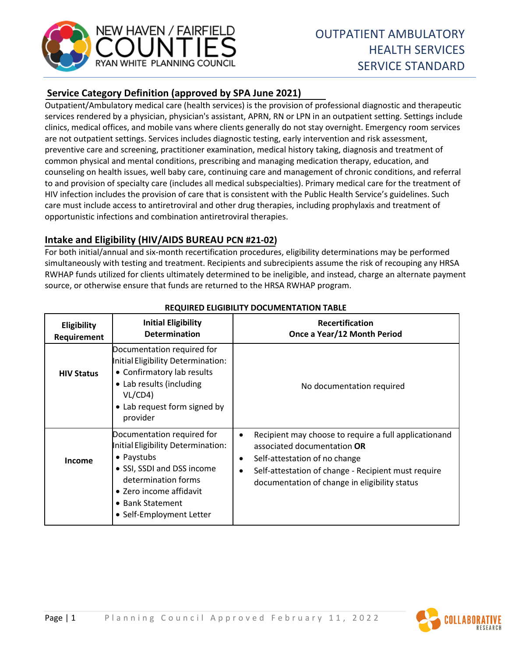

# **Service Category Definition (approved by SPA June 2021)**

Outpatient/Ambulatory medical care (health services) is the provision of professional diagnostic and therapeutic services rendered by a physician, physician's assistant, APRN, RN or LPN in an outpatient setting. Settings include clinics, medical offices, and mobile vans where clients generally do not stay overnight. Emergency room services are not outpatient settings. Services includes diagnostic testing, early intervention and risk assessment, preventive care and screening, practitioner examination, medical history taking, diagnosis and treatment of common physical and mental conditions, prescribing and managing medication therapy, education, and counseling on health issues, well baby care, continuing care and management of chronic conditions, and referral to and provision of specialty care (includes all medical subspecialties). Primary medical care for the treatment of HIV infection includes the provision of care that is consistent with the Public Health Service's guidelines. Such care must include access to antiretroviral and other drug therapies, including prophylaxis and treatment of opportunistic infections and combination antiretroviral therapies.

# **Intake and Eligibility (HIV/AIDS BUREAU PCN #21-02)**

For both initial/annual and six-month recertification procedures, eligibility determinations may be performed simultaneously with testing and treatment. Recipients and subrecipients assume the risk of recouping any HRSA RWHAP funds utilized for clients ultimately determined to be ineligible, and instead, charge an alternate payment source, or otherwise ensure that funds are returned to the HRSA RWHAP program.

| Eligibility<br>Requirement | <b>Initial Eligibility</b><br><b>Determination</b>                                                                                                                                                             | <b>Recertification</b><br>Once a Year/12 Month Period                                                                                                                                                                                                                |
|----------------------------|----------------------------------------------------------------------------------------------------------------------------------------------------------------------------------------------------------------|----------------------------------------------------------------------------------------------------------------------------------------------------------------------------------------------------------------------------------------------------------------------|
| <b>HIV Status</b>          | Documentation required for<br>Initial Eligibility Determination:<br>• Confirmatory lab results<br>• Lab results (including<br>VL/CD4)<br>• Lab request form signed by<br>provider                              | No documentation required                                                                                                                                                                                                                                            |
| Income                     | Documentation required for<br>Initial Eligibility Determination:<br>• Paystubs<br>• SSI, SSDI and DSS income<br>determination forms<br>• Zero income affidavit<br>• Bank Statement<br>• Self-Employment Letter | Recipient may choose to require a full applicationand<br>$\bullet$<br>associated documentation OR<br>Self-attestation of no change<br>$\bullet$<br>Self-attestation of change - Recipient must require<br>$\bullet$<br>documentation of change in eligibility status |

### **REQUIRED ELIGIBILITY DOCUMENTATION TABLE**

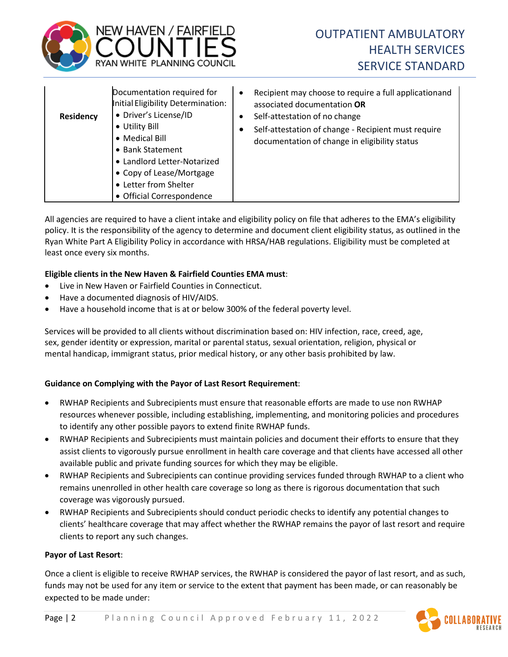

| Residency | Documentation required for<br>Initial Eligibility Determination:<br>· Driver's License/ID<br>• Utility Bill<br>• Medical Bill<br>• Bank Statement<br>• Landlord Letter-Notarized<br>• Copy of Lease/Mortgage<br>• Letter from Shelter<br>• Official Correspondence | ٠<br>٠ | Recipient may choose to require a full applicationand<br>associated documentation OR<br>Self-attestation of no change<br>Self-attestation of change - Recipient must require<br>documentation of change in eligibility status |
|-----------|--------------------------------------------------------------------------------------------------------------------------------------------------------------------------------------------------------------------------------------------------------------------|--------|-------------------------------------------------------------------------------------------------------------------------------------------------------------------------------------------------------------------------------|
|-----------|--------------------------------------------------------------------------------------------------------------------------------------------------------------------------------------------------------------------------------------------------------------------|--------|-------------------------------------------------------------------------------------------------------------------------------------------------------------------------------------------------------------------------------|

All agencies are required to have a client intake and eligibility policy on file that adheres to the EMA's eligibility policy. It is the responsibility of the agency to determine and document client eligibility status, as outlined in the Ryan White Part A Eligibility Policy in accordance with HRSA/HAB regulations. Eligibility must be completed at least once every six months.

#### **Eligible clients in the New Haven & Fairfield Counties EMA must**:

- Live in New Haven or Fairfield Counties in Connecticut.
- Have a documented diagnosis of HIV/AIDS.
- Have a household income that is at or below 300% of the federal poverty level.

Services will be provided to all clients without discrimination based on: HIV infection, race, creed, age, sex, gender identity or expression, marital or parental status, sexual orientation, religion, physical or mental handicap, immigrant status, prior medical history, or any other basis prohibited by law.

#### **Guidance on Complying with the Payor of Last Resort Requirement**:

- RWHAP Recipients and Subrecipients must ensure that reasonable efforts are made to use non RWHAP resources whenever possible, including establishing, implementing, and monitoring policies and procedures to identify any other possible payors to extend finite RWHAP funds.
- RWHAP Recipients and Subrecipients must maintain policies and document their efforts to ensure that they assist clients to vigorously pursue enrollment in health care coverage and that clients have accessed all other available public and private funding sources for which they may be eligible.
- RWHAP Recipients and Subrecipients can continue providing services funded through RWHAP to a client who remains unenrolled in other health care coverage so long as there is rigorous documentation that such coverage was vigorously pursued.
- RWHAP Recipients and Subrecipients should conduct periodic checks to identify any potential changes to clients' healthcare coverage that may affect whether the RWHAP remains the payor of last resort and require clients to report any such changes.

#### **Payor of Last Resort**:

Once a client is eligible to receive RWHAP services, the RWHAP is considered the payor of last resort, and as such, funds may not be used for any item or service to the extent that payment has been made, or can reasonably be expected to be made under:

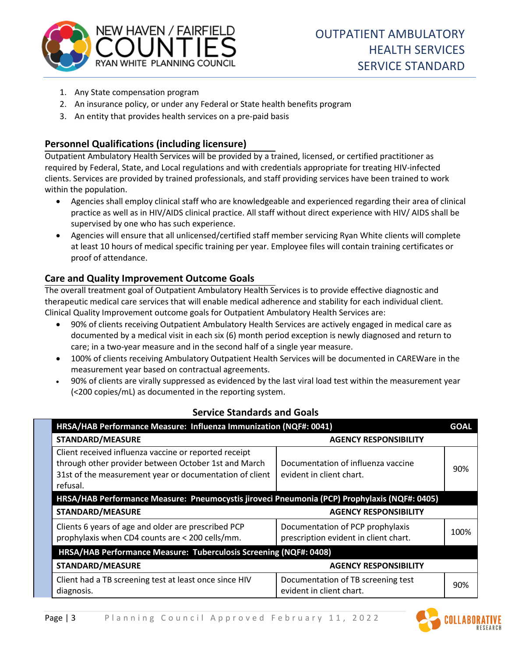

- 1. Any State compensation program
- 2. An insurance policy, or under any Federal or State health benefits program
- 3. An entity that provides health services on a pre-paid basis

# **Personnel Qualifications (including licensure)**

Outpatient Ambulatory Health Services will be provided by a trained, licensed, or certified practitioner as required by Federal, State, and Local regulations and with credentials appropriate for treating HIV-infected clients. Services are provided by trained professionals, and staff providing services have been trained to work within the population.

- Agencies shall employ clinical staff who are knowledgeable and experienced regarding their area of clinical practice as well as in HIV/AIDS clinical practice. All staff without direct experience with HIV/ AIDS shall be supervised by one who has such experience.
- Agencies will ensure that all unlicensed/certified staff member servicing Ryan White clients will complete at least 10 hours of medical specific training per year. Employee files will contain training certificates or proof of attendance.

# **Care and Quality Improvement Outcome Goals**

The overall treatment goal of Outpatient Ambulatory Health Services is to provide effective diagnostic and therapeutic medical care services that will enable medical adherence and stability for each individual client. Clinical Quality Improvement outcome goals for Outpatient Ambulatory Health Services are:

- 90% of clients receiving Outpatient Ambulatory Health Services are actively engaged in medical care as documented by a medical visit in each six (6) month period exception is newly diagnosed and return to care; in a two-year measure and in the second half of a single year measure.
- 100% of clients receiving Ambulatory Outpatient Health Services will be documented in CAREWare in the measurement year based on contractual agreements.
- 90% of clients are virally suppressed as evidenced by the last viral load test within the measurement year (<200 copies/mL) as documented in the reporting system.

| HRSA/HAB Performance Measure: Influenza Immunization (NQF#: 0041)                                                                                                                    |                                                                           |      |  |  |
|--------------------------------------------------------------------------------------------------------------------------------------------------------------------------------------|---------------------------------------------------------------------------|------|--|--|
| <b>STANDARD/MEASURE</b>                                                                                                                                                              | <b>AGENCY RESPONSIBILITY</b>                                              |      |  |  |
| Client received influenza vaccine or reported receipt<br>through other provider between October 1st and March<br>31st of the measurement year or documentation of client<br>refusal. | Documentation of influenza vaccine<br>evident in client chart.            | 90%  |  |  |
| HRSA/HAB Performance Measure: Pneumocystis jiroveci Pneumonia (PCP) Prophylaxis (NQF#: 0405)                                                                                         |                                                                           |      |  |  |
| <b>STANDARD/MEASURE</b>                                                                                                                                                              | <b>AGENCY RESPONSIBILITY</b>                                              |      |  |  |
| Clients 6 years of age and older are prescribed PCP<br>prophylaxis when CD4 counts are < 200 cells/mm.                                                                               | Documentation of PCP prophylaxis<br>prescription evident in client chart. | 100% |  |  |
| HRSA/HAB Performance Measure: Tuberculosis Screening (NQF#: 0408)                                                                                                                    |                                                                           |      |  |  |
| <b>STANDARD/MEASURE</b>                                                                                                                                                              | <b>AGENCY RESPONSIBILITY</b>                                              |      |  |  |
| Client had a TB screening test at least once since HIV<br>diagnosis.                                                                                                                 | Documentation of TB screening test<br>evident in client chart.            | 90%  |  |  |

# **Service Standards and Goals**

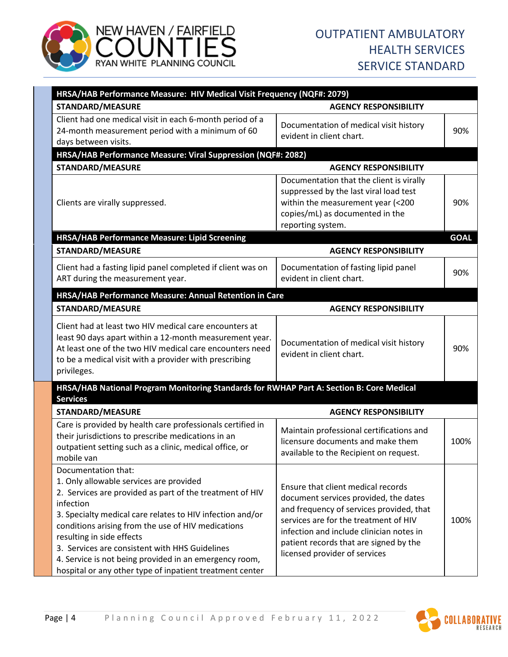

| HRSA/HAB Performance Measure: HIV Medical Visit Frequency (NQF#: 2079)                                                                                                                                                                                                                                                                                                                                                                                          |                                                                                                                                                                                                                                                                                         |             |  |  |
|-----------------------------------------------------------------------------------------------------------------------------------------------------------------------------------------------------------------------------------------------------------------------------------------------------------------------------------------------------------------------------------------------------------------------------------------------------------------|-----------------------------------------------------------------------------------------------------------------------------------------------------------------------------------------------------------------------------------------------------------------------------------------|-------------|--|--|
| <b>STANDARD/MEASURE</b>                                                                                                                                                                                                                                                                                                                                                                                                                                         | <b>AGENCY RESPONSIBILITY</b>                                                                                                                                                                                                                                                            |             |  |  |
| Client had one medical visit in each 6-month period of a<br>24-month measurement period with a minimum of 60<br>days between visits.                                                                                                                                                                                                                                                                                                                            | Documentation of medical visit history<br>evident in client chart.                                                                                                                                                                                                                      | 90%         |  |  |
| HRSA/HAB Performance Measure: Viral Suppression (NQF#: 2082)                                                                                                                                                                                                                                                                                                                                                                                                    |                                                                                                                                                                                                                                                                                         |             |  |  |
| <b>STANDARD/MEASURE</b>                                                                                                                                                                                                                                                                                                                                                                                                                                         | <b>AGENCY RESPONSIBILITY</b>                                                                                                                                                                                                                                                            |             |  |  |
| Clients are virally suppressed.                                                                                                                                                                                                                                                                                                                                                                                                                                 | Documentation that the client is virally<br>suppressed by the last viral load test<br>within the measurement year (<200<br>copies/mL) as documented in the<br>reporting system.                                                                                                         | 90%         |  |  |
| HRSA/HAB Performance Measure: Lipid Screening                                                                                                                                                                                                                                                                                                                                                                                                                   |                                                                                                                                                                                                                                                                                         | <b>GOAL</b> |  |  |
| <b>STANDARD/MEASURE</b>                                                                                                                                                                                                                                                                                                                                                                                                                                         | <b>AGENCY RESPONSIBILITY</b>                                                                                                                                                                                                                                                            |             |  |  |
| Client had a fasting lipid panel completed if client was on<br>ART during the measurement year.                                                                                                                                                                                                                                                                                                                                                                 | Documentation of fasting lipid panel<br>evident in client chart.                                                                                                                                                                                                                        | 90%         |  |  |
| HRSA/HAB Performance Measure: Annual Retention in Care                                                                                                                                                                                                                                                                                                                                                                                                          |                                                                                                                                                                                                                                                                                         |             |  |  |
| <b>STANDARD/MEASURE</b>                                                                                                                                                                                                                                                                                                                                                                                                                                         | <b>AGENCY RESPONSIBILITY</b>                                                                                                                                                                                                                                                            |             |  |  |
| Client had at least two HIV medical care encounters at<br>least 90 days apart within a 12-month measurement year.<br>At least one of the two HIV medical care encounters need<br>to be a medical visit with a provider with prescribing<br>privileges.                                                                                                                                                                                                          | Documentation of medical visit history<br>evident in client chart.                                                                                                                                                                                                                      | 90%         |  |  |
| HRSA/HAB National Program Monitoring Standards for RWHAP Part A: Section B: Core Medical<br><b>Services</b>                                                                                                                                                                                                                                                                                                                                                     |                                                                                                                                                                                                                                                                                         |             |  |  |
| <b>STANDARD/MEASURE</b>                                                                                                                                                                                                                                                                                                                                                                                                                                         | <b>AGENCY RESPONSIBILITY</b>                                                                                                                                                                                                                                                            |             |  |  |
| Care is provided by health care professionals certified in<br>their jurisdictions to prescribe medications in an<br>outpatient setting such as a clinic, medical office, or<br>mobile van                                                                                                                                                                                                                                                                       | Maintain professional certifications and<br>licensure documents and make them<br>available to the Recipient on request.                                                                                                                                                                 | 100%        |  |  |
| Documentation that:<br>1. Only allowable services are provided<br>2. Services are provided as part of the treatment of HIV<br>infection<br>3. Specialty medical care relates to HIV infection and/or<br>conditions arising from the use of HIV medications<br>resulting in side effects<br>3. Services are consistent with HHS Guidelines<br>4. Service is not being provided in an emergency room,<br>hospital or any other type of inpatient treatment center | Ensure that client medical records<br>document services provided, the dates<br>and frequency of services provided, that<br>services are for the treatment of HIV<br>infection and include clinician notes in<br>patient records that are signed by the<br>licensed provider of services | 100%        |  |  |

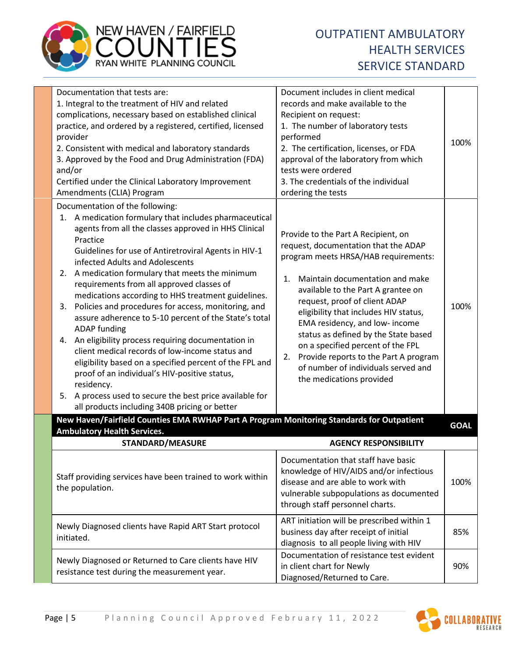

| Documentation that tests are:<br>1. Integral to the treatment of HIV and related<br>complications, necessary based on established clinical<br>practice, and ordered by a registered, certified, licensed<br>provider<br>2. Consistent with medical and laboratory standards<br>3. Approved by the Food and Drug Administration (FDA)<br>and/or<br>Certified under the Clinical Laboratory Improvement<br>Amendments (CLIA) Program                                                                                                                                                                                                                                                                                                                                                                                                                                                                                | Document includes in client medical<br>records and make available to the<br>Recipient on request:<br>1. The number of laboratory tests<br>performed<br>2. The certification, licenses, or FDA<br>approval of the laboratory from which<br>tests were ordered<br>3. The credentials of the individual<br>ordering the tests                                                                                                                                                                                    | 100%        |
|-------------------------------------------------------------------------------------------------------------------------------------------------------------------------------------------------------------------------------------------------------------------------------------------------------------------------------------------------------------------------------------------------------------------------------------------------------------------------------------------------------------------------------------------------------------------------------------------------------------------------------------------------------------------------------------------------------------------------------------------------------------------------------------------------------------------------------------------------------------------------------------------------------------------|---------------------------------------------------------------------------------------------------------------------------------------------------------------------------------------------------------------------------------------------------------------------------------------------------------------------------------------------------------------------------------------------------------------------------------------------------------------------------------------------------------------|-------------|
| Documentation of the following:<br>1. A medication formulary that includes pharmaceutical<br>agents from all the classes approved in HHS Clinical<br>Practice<br>Guidelines for use of Antiretroviral Agents in HIV-1<br>infected Adults and Adolescents<br>2. A medication formulary that meets the minimum<br>requirements from all approved classes of<br>medications according to HHS treatment guidelines.<br>Policies and procedures for access, monitoring, and<br>3.<br>assure adherence to 5-10 percent of the State's total<br><b>ADAP</b> funding<br>4. An eligibility process requiring documentation in<br>client medical records of low-income status and<br>eligibility based on a specified percent of the FPL and<br>proof of an individual's HIV-positive status,<br>residency.<br>A process used to secure the best price available for<br>5.<br>all products including 340B pricing or better | Provide to the Part A Recipient, on<br>request, documentation that the ADAP<br>program meets HRSA/HAB requirements:<br>Maintain documentation and make<br>1.<br>available to the Part A grantee on<br>request, proof of client ADAP<br>eligibility that includes HIV status,<br>EMA residency, and low- income<br>status as defined by the State based<br>on a specified percent of the FPL<br>Provide reports to the Part A program<br>2.<br>of number of individuals served and<br>the medications provided | 100%        |
| New Haven/Fairfield Counties EMA RWHAP Part A Program Monitoring Standards for Outpatient<br><b>Ambulatory Health Services.</b>                                                                                                                                                                                                                                                                                                                                                                                                                                                                                                                                                                                                                                                                                                                                                                                   |                                                                                                                                                                                                                                                                                                                                                                                                                                                                                                               | <b>GOAL</b> |
| <b>STANDARD/MEASURE</b>                                                                                                                                                                                                                                                                                                                                                                                                                                                                                                                                                                                                                                                                                                                                                                                                                                                                                           | <b>AGENCY RESPONSIBILITY</b>                                                                                                                                                                                                                                                                                                                                                                                                                                                                                  |             |
| Staff providing services have been trained to work within<br>the population.                                                                                                                                                                                                                                                                                                                                                                                                                                                                                                                                                                                                                                                                                                                                                                                                                                      | Documentation that staff have basic<br>knowledge of HIV/AIDS and/or infectious<br>disease and are able to work with<br>vulnerable subpopulations as documented<br>through staff personnel charts.                                                                                                                                                                                                                                                                                                             | 100%        |
| Newly Diagnosed clients have Rapid ART Start protocol<br>initiated.                                                                                                                                                                                                                                                                                                                                                                                                                                                                                                                                                                                                                                                                                                                                                                                                                                               | ART initiation will be prescribed within 1<br>business day after receipt of initial<br>diagnosis to all people living with HIV                                                                                                                                                                                                                                                                                                                                                                                | 85%         |
| Newly Diagnosed or Returned to Care clients have HIV<br>resistance test during the measurement year.                                                                                                                                                                                                                                                                                                                                                                                                                                                                                                                                                                                                                                                                                                                                                                                                              | Documentation of resistance test evident<br>in client chart for Newly<br>Diagnosed/Returned to Care.                                                                                                                                                                                                                                                                                                                                                                                                          | 90%         |

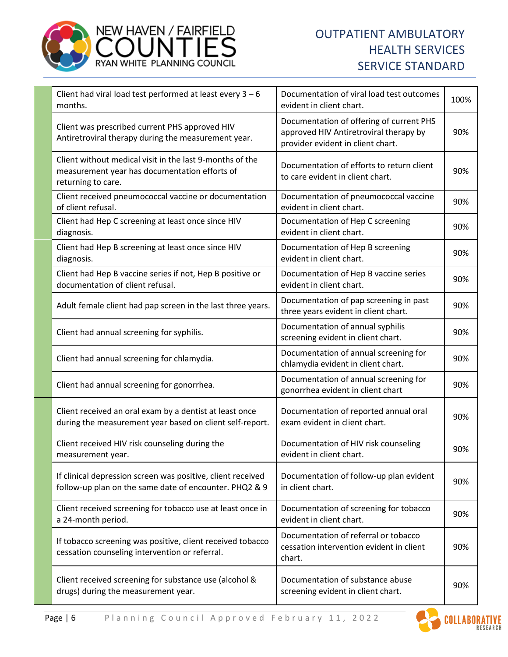

| Client had viral load test performed at least every $3 - 6$<br>months.                                                          | Documentation of viral load test outcomes<br>evident in client chart.                                                   | 100% |
|---------------------------------------------------------------------------------------------------------------------------------|-------------------------------------------------------------------------------------------------------------------------|------|
| Client was prescribed current PHS approved HIV<br>Antiretroviral therapy during the measurement year.                           | Documentation of offering of current PHS<br>approved HIV Antiretroviral therapy by<br>provider evident in client chart. | 90%  |
| Client without medical visit in the last 9-months of the<br>measurement year has documentation efforts of<br>returning to care. | Documentation of efforts to return client<br>to care evident in client chart.                                           | 90%  |
| Client received pneumococcal vaccine or documentation<br>of client refusal.                                                     | Documentation of pneumococcal vaccine<br>evident in client chart.                                                       | 90%  |
| Client had Hep C screening at least once since HIV<br>diagnosis.                                                                | Documentation of Hep C screening<br>evident in client chart.                                                            | 90%  |
| Client had Hep B screening at least once since HIV<br>diagnosis.                                                                | Documentation of Hep B screening<br>evident in client chart.                                                            | 90%  |
| Client had Hep B vaccine series if not, Hep B positive or<br>documentation of client refusal.                                   | Documentation of Hep B vaccine series<br>evident in client chart.                                                       | 90%  |
| Adult female client had pap screen in the last three years.                                                                     | Documentation of pap screening in past<br>three years evident in client chart.                                          | 90%  |
| Client had annual screening for syphilis.                                                                                       | Documentation of annual syphilis<br>screening evident in client chart.                                                  | 90%  |
| Client had annual screening for chlamydia.                                                                                      | Documentation of annual screening for<br>chlamydia evident in client chart.                                             | 90%  |
| Client had annual screening for gonorrhea.                                                                                      | Documentation of annual screening for<br>gonorrhea evident in client chart                                              | 90%  |
| Client received an oral exam by a dentist at least once<br>during the measurement year based on client self-report.             | Documentation of reported annual oral<br>exam evident in client chart.                                                  | 90%  |
| Client received HIV risk counseling during the<br>measurement year.                                                             | Documentation of HIV risk counseling<br>evident in client chart.                                                        | 90%  |
| If clinical depression screen was positive, client received<br>follow-up plan on the same date of encounter. PHQ2 & 9           | Documentation of follow-up plan evident<br>in client chart.                                                             | 90%  |
| Client received screening for tobacco use at least once in<br>a 24-month period.                                                | Documentation of screening for tobacco<br>evident in client chart.                                                      | 90%  |
| If tobacco screening was positive, client received tobacco<br>cessation counseling intervention or referral.                    | Documentation of referral or tobacco<br>cessation intervention evident in client<br>chart.                              | 90%  |
| Client received screening for substance use (alcohol &<br>drugs) during the measurement year.                                   | Documentation of substance abuse<br>screening evident in client chart.                                                  | 90%  |